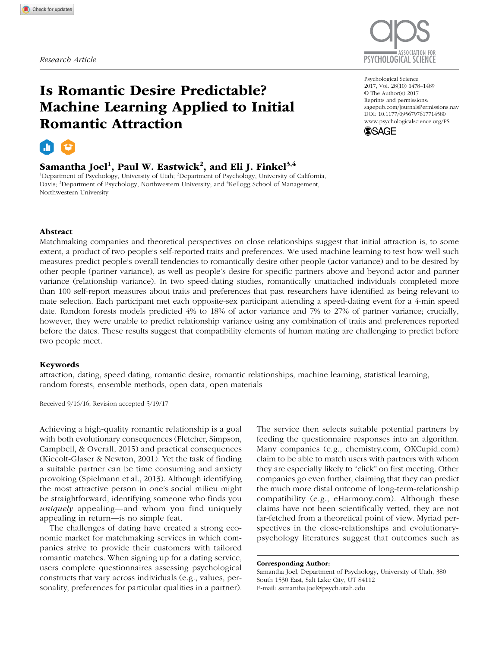

# Is Romantic Desire Predictable? Machine Learning Applied to Initial Romantic Attraction



# Samantha Joel $^1$ , Paul W. Eastwick $^2$ , and Eli J. Finkel $^{3,4}$

<sup>1</sup>Department of Psychology, University of Utah; <sup>2</sup>Department of Psychology, University of California, Davis; <sup>3</sup>Department of Psychology, Northwestern University; and <sup>4</sup>Kellogg School of Management, Northwestern University

DOI: 10.1177/0956797617714580 Psychological Science 2017, Vol. 28(10) 1478 –1489 © The Author(s) 2017 Reprints and permissions: sagepub.com/journalsPermissions.nav www.psychologicalscience.org/PS



## Abstract

Matchmaking companies and theoretical perspectives on close relationships suggest that initial attraction is, to some extent, a product of two people's self-reported traits and preferences. We used machine learning to test how well such measures predict people's overall tendencies to romantically desire other people (actor variance) and to be desired by other people (partner variance), as well as people's desire for specific partners above and beyond actor and partner variance (relationship variance). In two speed-dating studies, romantically unattached individuals completed more than 100 self-report measures about traits and preferences that past researchers have identified as being relevant to mate selection. Each participant met each opposite-sex participant attending a speed-dating event for a 4-min speed date. Random forests models predicted 4% to 18% of actor variance and 7% to 27% of partner variance; crucially, however, they were unable to predict relationship variance using any combination of traits and preferences reported before the dates. These results suggest that compatibility elements of human mating are challenging to predict before two people meet.

### Keywords

attraction, dating, speed dating, romantic desire, romantic relationships, machine learning, statistical learning, random forests, ensemble methods, open data, open materials

Received 9/16/16; Revision accepted 5/19/17

Achieving a high-quality romantic relationship is a goal with both evolutionary consequences (Fletcher, Simpson, Campbell, & Overall, 2015) and practical consequences (Kiecolt-Glaser & Newton, 2001). Yet the task of finding a suitable partner can be time consuming and anxiety provoking (Spielmann et al., 2013). Although identifying the most attractive person in one's social milieu might be straightforward, identifying someone who finds you *uniquely* appealing—and whom you find uniquely appealing in return—is no simple feat.

The challenges of dating have created a strong economic market for matchmaking services in which companies strive to provide their customers with tailored romantic matches. When signing up for a dating service, users complete questionnaires assessing psychological constructs that vary across individuals (e.g., values, personality, preferences for particular qualities in a partner). The service then selects suitable potential partners by feeding the questionnaire responses into an algorithm. Many companies (e.g., chemistry.com, OKCupid.com) claim to be able to match users with partners with whom they are especially likely to "click" on first meeting. Other companies go even further, claiming that they can predict the much more distal outcome of long-term-relationship compatibility (e.g., eHarmony.com). Although these claims have not been scientifically vetted, they are not far-fetched from a theoretical point of view. Myriad perspectives in the close-relationships and evolutionarypsychology literatures suggest that outcomes such as

#### Corresponding Author:

Samantha Joel, Department of Psychology, University of Utah, 380 South 1530 East, Salt Lake City, UT 84112 E-mail: samantha.joel@psych.utah.edu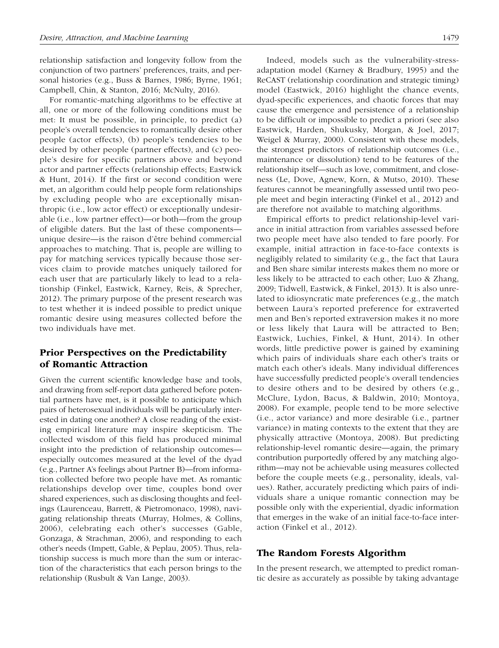relationship satisfaction and longevity follow from the conjunction of two partners' preferences, traits, and personal histories (e.g., Buss & Barnes, 1986; Byrne, 1961; Campbell, Chin, & Stanton, 2016; McNulty, 2016).

For romantic-matching algorithms to be effective at all, one or more of the following conditions must be met: It must be possible, in principle, to predict (a) people's overall tendencies to romantically desire other people (actor effects), (b) people's tendencies to be desired by other people (partner effects), and (c) people's desire for specific partners above and beyond actor and partner effects (relationship effects; Eastwick & Hunt, 2014). If the first or second condition were met, an algorithm could help people form relationships by excluding people who are exceptionally misanthropic (i.e., low actor effect) or exceptionally undesirable (i.e., low partner effect)—or both—from the group of eligible daters. But the last of these components unique desire—is the raison d'être behind commercial approaches to matching. That is, people are willing to pay for matching services typically because those services claim to provide matches uniquely tailored for each user that are particularly likely to lead to a relationship (Finkel, Eastwick, Karney, Reis, & Sprecher, 2012). The primary purpose of the present research was to test whether it is indeed possible to predict unique romantic desire using measures collected before the two individuals have met.

# Prior Perspectives on the Predictability of Romantic Attraction

Given the current scientific knowledge base and tools, and drawing from self-report data gathered before potential partners have met, is it possible to anticipate which pairs of heterosexual individuals will be particularly interested in dating one another? A close reading of the existing empirical literature may inspire skepticism. The collected wisdom of this field has produced minimal insight into the prediction of relationship outcomes especially outcomes measured at the level of the dyad (e.g., Partner A's feelings about Partner B)—from information collected before two people have met. As romantic relationships develop over time, couples bond over shared experiences, such as disclosing thoughts and feelings (Laurenceau, Barrett, & Pietromonaco, 1998), navigating relationship threats (Murray, Holmes, & Collins, 2006), celebrating each other's successes (Gable, Gonzaga, & Strachman, 2006), and responding to each other's needs (Impett, Gable, & Peplau, 2005). Thus, relationship success is much more than the sum or interaction of the characteristics that each person brings to the relationship (Rusbult & Van Lange, 2003).

Indeed, models such as the vulnerability-stressadaptation model (Karney & Bradbury, 1995) and the ReCAST (relationship coordination and strategic timing) model (Eastwick, 2016) highlight the chance events, dyad-specific experiences, and chaotic forces that may cause the emergence and persistence of a relationship to be difficult or impossible to predict a priori (see also Eastwick, Harden, Shukusky, Morgan, & Joel, 2017; Weigel & Murray, 2000). Consistent with these models, the strongest predictors of relationship outcomes (i.e., maintenance or dissolution) tend to be features of the relationship itself—such as love, commitment, and closeness (Le, Dove, Agnew, Korn, & Mutso, 2010). These features cannot be meaningfully assessed until two people meet and begin interacting (Finkel et al., 2012) and are therefore not available to matching algorithms.

Empirical efforts to predict relationship-level variance in initial attraction from variables assessed before two people meet have also tended to fare poorly. For example, initial attraction in face-to-face contexts is negligibly related to similarity (e.g., the fact that Laura and Ben share similar interests makes them no more or less likely to be attracted to each other; Luo & Zhang, 2009; Tidwell, Eastwick, & Finkel, 2013). It is also unrelated to idiosyncratic mate preferences (e.g., the match between Laura's reported preference for extraverted men and Ben's reported extraversion makes it no more or less likely that Laura will be attracted to Ben; Eastwick, Luchies, Finkel, & Hunt, 2014). In other words, little predictive power is gained by examining which pairs of individuals share each other's traits or match each other's ideals. Many individual differences have successfully predicted people's overall tendencies to desire others and to be desired by others (e.g., McClure, Lydon, Bacus, & Baldwin, 2010; Montoya, 2008). For example, people tend to be more selective (i.e., actor variance) and more desirable (i.e., partner variance) in mating contexts to the extent that they are physically attractive (Montoya, 2008). But predicting relationship-level romantic desire—again, the primary contribution purportedly offered by any matching algorithm—may not be achievable using measures collected before the couple meets (e.g., personality, ideals, values). Rather, accurately predicting which pairs of individuals share a unique romantic connection may be possible only with the experiential, dyadic information that emerges in the wake of an initial face-to-face interaction (Finkel et al., 2012).

## The Random Forests Algorithm

In the present research, we attempted to predict romantic desire as accurately as possible by taking advantage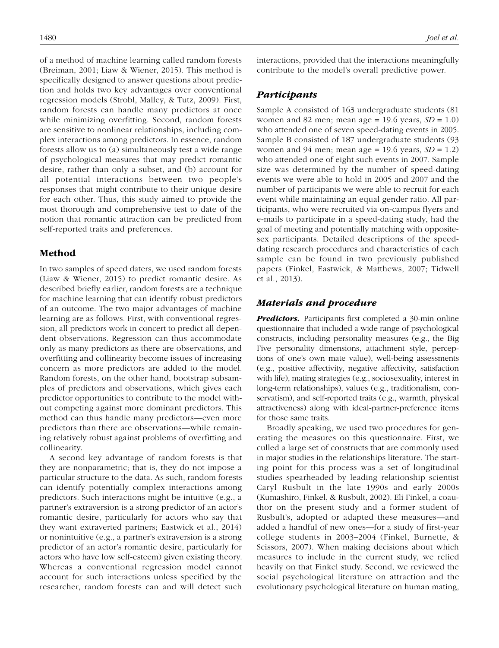of a method of machine learning called random forests (Breiman, 2001; Liaw & Wiener, 2015). This method is specifically designed to answer questions about prediction and holds two key advantages over conventional regression models (Strobl, Malley, & Tutz, 2009). First, random forests can handle many predictors at once while minimizing overfitting. Second, random forests are sensitive to nonlinear relationships, including complex interactions among predictors. In essence, random forests allow us to (a) simultaneously test a wide range of psychological measures that may predict romantic desire, rather than only a subset, and (b) account for all potential interactions between two people's responses that might contribute to their unique desire for each other. Thus, this study aimed to provide the most thorough and comprehensive test to date of the notion that romantic attraction can be predicted from self-reported traits and preferences.

# Method

In two samples of speed daters, we used random forests (Liaw & Wiener, 2015) to predict romantic desire. As described briefly earlier, random forests are a technique for machine learning that can identify robust predictors of an outcome. The two major advantages of machine learning are as follows. First, with conventional regression, all predictors work in concert to predict all dependent observations. Regression can thus accommodate only as many predictors as there are observations, and overfitting and collinearity become issues of increasing concern as more predictors are added to the model. Random forests, on the other hand, bootstrap subsamples of predictors and observations, which gives each predictor opportunities to contribute to the model without competing against more dominant predictors. This method can thus handle many predictors—even more predictors than there are observations—while remaining relatively robust against problems of overfitting and collinearity.

A second key advantage of random forests is that they are nonparametric; that is, they do not impose a particular structure to the data. As such, random forests can identify potentially complex interactions among predictors. Such interactions might be intuitive (e.g., a partner's extraversion is a strong predictor of an actor's romantic desire, particularly for actors who say that they want extraverted partners; Eastwick et al., 2014) or nonintuitive (e.g., a partner's extraversion is a strong predictor of an actor's romantic desire, particularly for actors who have low self-esteem) given existing theory. Whereas a conventional regression model cannot account for such interactions unless specified by the researcher, random forests can and will detect such interactions, provided that the interactions meaningfully contribute to the model's overall predictive power.

# Participants

Sample A consisted of 163 undergraduate students (81 women and 82 men; mean age = 19.6 years, *SD* = 1.0) who attended one of seven speed-dating events in 2005. Sample B consisted of 187 undergraduate students (93 women and 94 men; mean age =  $19.6$  years,  $SD = 1.2$ ) who attended one of eight such events in 2007. Sample size was determined by the number of speed-dating events we were able to hold in 2005 and 2007 and the number of participants we were able to recruit for each event while maintaining an equal gender ratio. All participants, who were recruited via on-campus flyers and e-mails to participate in a speed-dating study, had the goal of meeting and potentially matching with oppositesex participants. Detailed descriptions of the speeddating research procedures and characteristics of each sample can be found in two previously published papers (Finkel, Eastwick, & Matthews, 2007; Tidwell et al., 2013).

# Materials and procedure

**Predictors.** Participants first completed a 30-min online questionnaire that included a wide range of psychological constructs, including personality measures (e.g., the Big Five personality dimensions, attachment style, perceptions of one's own mate value), well-being assessments (e.g., positive affectivity, negative affectivity, satisfaction with life), mating strategies (e.g., sociosexuality, interest in long-term relationships), values (e.g., traditionalism, conservatism), and self-reported traits (e.g., warmth, physical attractiveness) along with ideal-partner-preference items for those same traits.

Broadly speaking, we used two procedures for generating the measures on this questionnaire. First, we culled a large set of constructs that are commonly used in major studies in the relationships literature. The starting point for this process was a set of longitudinal studies spearheaded by leading relationship scientist Caryl Rusbult in the late 1990s and early 2000s (Kumashiro, Finkel, & Rusbult, 2002). Eli Finkel, a coauthor on the present study and a former student of Rusbult's, adopted or adapted these measures—and added a handful of new ones—for a study of first-year college students in 2003–2004 (Finkel, Burnette, & Scissors, 2007). When making decisions about which measures to include in the current study, we relied heavily on that Finkel study. Second, we reviewed the social psychological literature on attraction and the evolutionary psychological literature on human mating,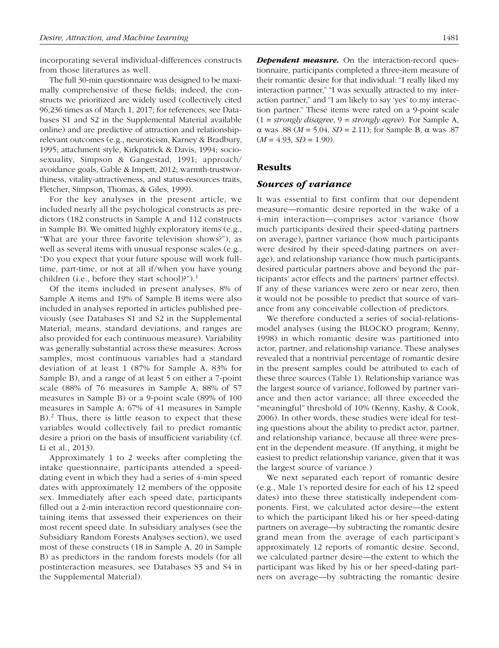incorporating several individual-differences constructs from those literatures as well.

The full 30-min questionnaire was designed to be maximally comprehensive of these fields; indeed, the constructs we prioritized are widely used (collectively cited 96,236 times as of March 1, 2017; for references, see Databases S1 and S2 in the Supplemental Material available online) and are predictive of attraction and relationshiprelevant outcomes (e.g., neuroticism, Karney & Bradbury, 1995; attachment style, Kirkpatrick & Davis, 1994; sociosexuality, Simpson & Gangestad, 1991; approach/ avoidance goals, Gable & Impett, 2012; warmth-trustworthiness, vitality-attractiveness, and status-resources traits, Fletcher, Simpson, Thomas, & Giles, 1999).

For the key analyses in the present article, we included nearly all the psychological constructs as predictors (182 constructs in Sample A and 112 constructs in Sample B). We omitted highly exploratory items (e.g., "What are your three favorite television shows?"), as well as several items with unusual response scales (e.g., "Do you expect that your future spouse will work fulltime, part-time, or not at all if/when you have young children (i.e., before they start school)?").<sup>1</sup>

Of the items included in present analyses, 8% of Sample A items and 19% of Sample B items were also included in analyses reported in articles published previously (see Databases S1 and S2 in the Supplemental Material; means, standard deviations, and ranges are also provided for each continuous measure). Variability was generally substantial across these measures: Across samples, most continuous variables had a standard deviation of at least 1 (87% for Sample A, 83% for Sample B), and a range of at least 5 on either a 7-point scale (88% of 76 measures in Sample A; 88% of 57 measures in Sample B) or a 9-point scale (89% of 100 measures in Sample A; 67% of 41 measures in Sample B).<sup>2</sup> Thus, there is little reason to expect that these variables would collectively fail to predict romantic desire a priori on the basis of insufficient variability (cf. Li et al., 2013).

Approximately 1 to 2 weeks after completing the intake questionnaire, participants attended a speeddating event in which they had a series of 4-min speed dates with approximately 12 members of the opposite sex. Immediately after each speed date, participants filled out a 2-min interaction record questionnaire containing items that assessed their experiences on their most recent speed date. In subsidiary analyses (see the Subsidiary Random Forests Analyses section), we used most of these constructs (18 in Sample A, 20 in Sample B) as predictors in the random forests models (for all postinteraction measures, see Databases S3 and S4 in the Supplemental Material).

**Dependent measure.** On the interaction-record questionnaire, participants completed a three-item measure of their romantic desire for that individual: "I really liked my interaction partner," "I was sexually attracted to my interaction partner," and "I am likely to say 'yes' to my interaction partner." These items were rated on a 9-point scale (1 = *strongly disagree*, 9 = *strongly agree*). For Sample A, α was .88 (*M* = 5.04, *SD* = 2.11); for Sample B, α was .87  $(M = 4.93, SD = 1.90)$ .

## Results

## Sources of variance

It was essential to first confirm that our dependent measure—romantic desire reported in the wake of a 4-min interaction—comprises actor variance (how much participants desired their speed-dating partners on average), partner variance (how much participants were desired by their speed-dating partners on average), and relationship variance (how much participants desired particular partners above and beyond the participants' actor effects and the partners' partner effects). If any of these variances were zero or near zero, then it would not be possible to predict that source of variance from any conceivable collection of predictors.

We therefore conducted a series of social-relationsmodel analyses (using the BLOCKO program; Kenny, 1998) in which romantic desire was partitioned into actor, partner, and relationship variance. These analyses revealed that a nontrivial percentage of romantic desire in the present samples could be attributed to each of these three sources (Table 1). Relationship variance was the largest source of variance, followed by partner variance and then actor variance; all three exceeded the "meaningful" threshold of 10% (Kenny, Kashy, & Cook, 2006). In other words, these studies were ideal for testing questions about the ability to predict actor, partner, and relationship variance, because all three were present in the dependent measure. (If anything, it might be easiest to predict relationship variance, given that it was the largest source of variance.)

We next separated each report of romantic desire (e.g., Male 1's reported desire for each of his 12 speed dates) into these three statistically independent components. First, we calculated actor desire—the extent to which the participant liked his or her speed-dating partners on average—by subtracting the romantic desire grand mean from the average of each participant's approximately 12 reports of romantic desire. Second, we calculated partner desire—the extent to which the participant was liked by his or her speed-dating partners on average—by subtracting the romantic desire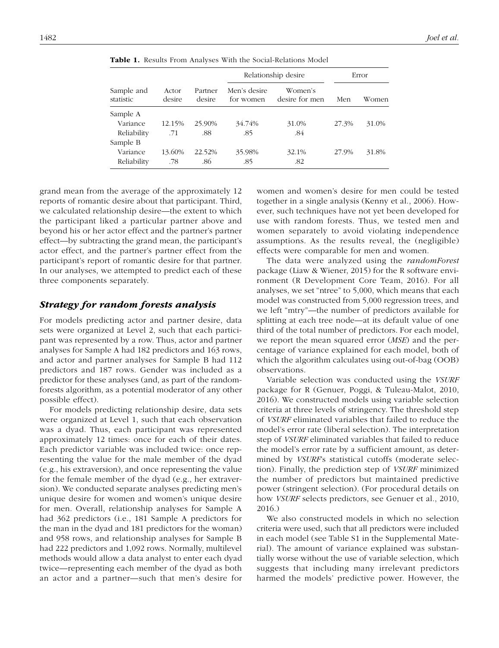| Sample and<br>statistic | Actor<br>desire | Partner<br>desire | Relationship desire       | Error                     |       |       |
|-------------------------|-----------------|-------------------|---------------------------|---------------------------|-------|-------|
|                         |                 |                   | Men's desire<br>for women | Women's<br>desire for men | Men   | Women |
| Sample A                |                 |                   |                           |                           |       |       |
| Variance                | 12.15%          | 25.90%            | 34.74%                    | 31.0%                     | 27.3% | 31.0% |
| Reliability             | .71             | .88               | .85                       | .84                       |       |       |
| Sample B                |                 |                   |                           |                           |       |       |
| Variance                | 13.60%          | 22.52%            | 35.98%                    | 32.1%                     | 27.9% | 31.8% |
| Reliability             | .78             | .86               | .85                       | .82                       |       |       |

Table 1. Results From Analyses With the Social-Relations Model

grand mean from the average of the approximately 12 reports of romantic desire about that participant. Third, we calculated relationship desire—the extent to which the participant liked a particular partner above and beyond his or her actor effect and the partner's partner effect—by subtracting the grand mean, the participant's actor effect, and the partner's partner effect from the participant's report of romantic desire for that partner. In our analyses, we attempted to predict each of these three components separately.

## Strategy for random forests analysis

For models predicting actor and partner desire, data sets were organized at Level 2, such that each participant was represented by a row. Thus, actor and partner analyses for Sample A had 182 predictors and 163 rows, and actor and partner analyses for Sample B had 112 predictors and 187 rows. Gender was included as a predictor for these analyses (and, as part of the randomforests algorithm, as a potential moderator of any other possible effect).

For models predicting relationship desire, data sets were organized at Level 1, such that each observation was a dyad. Thus, each participant was represented approximately 12 times: once for each of their dates. Each predictor variable was included twice: once representing the value for the male member of the dyad (e.g., his extraversion), and once representing the value for the female member of the dyad (e.g., her extraversion). We conducted separate analyses predicting men's unique desire for women and women's unique desire for men. Overall, relationship analyses for Sample A had 362 predictors (i.e., 181 Sample A predictors for the man in the dyad and 181 predictors for the woman) and 958 rows, and relationship analyses for Sample B had 222 predictors and 1,092 rows. Normally, multilevel methods would allow a data analyst to enter each dyad twice—representing each member of the dyad as both an actor and a partner—such that men's desire for women and women's desire for men could be tested together in a single analysis (Kenny et al., 2006). However, such techniques have not yet been developed for use with random forests. Thus, we tested men and women separately to avoid violating independence assumptions. As the results reveal, the (negligible) effects were comparable for men and women.

The data were analyzed using the *randomForest* package (Liaw & Wiener, 2015) for the R software environment (R Development Core Team, 2016). For all analyses, we set "ntree" to 5,000, which means that each model was constructed from 5,000 regression trees, and we left "mtry"—the number of predictors available for splitting at each tree node—at its default value of one third of the total number of predictors. For each model, we report the mean squared error (*MSE*) and the percentage of variance explained for each model, both of which the algorithm calculates using out-of-bag (OOB) observations.

Variable selection was conducted using the *VSURF* package for R (Genuer, Poggi, & Tuleau-Malot, 2010, 2016). We constructed models using variable selection criteria at three levels of stringency. The threshold step of *VSURF* eliminated variables that failed to reduce the model's error rate (liberal selection). The interpretation step of *VSURF* eliminated variables that failed to reduce the model's error rate by a sufficient amount, as determined by *VSURF*'s statistical cutoffs (moderate selection). Finally, the prediction step of *VSURF* minimized the number of predictors but maintained predictive power (stringent selection). (For procedural details on how *VSURF* selects predictors, see Genuer et al., 2010, 2016.)

We also constructed models in which no selection criteria were used, such that all predictors were included in each model (see Table S1 in the Supplemental Material). The amount of variance explained was substantially worse without the use of variable selection, which suggests that including many irrelevant predictors harmed the models' predictive power. However, the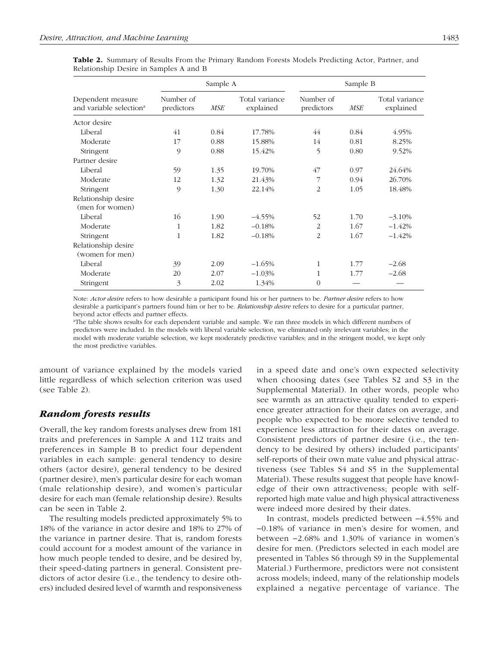|                                                          |                         | Sample A   |                             | Sample B                |            |                             |  |
|----------------------------------------------------------|-------------------------|------------|-----------------------------|-------------------------|------------|-----------------------------|--|
| Dependent measure<br>and variable selection <sup>a</sup> | Number of<br>predictors | <b>MSE</b> | Total variance<br>explained | Number of<br>predictors | <b>MSE</b> | Total variance<br>explained |  |
| Actor desire                                             |                         |            |                             |                         |            |                             |  |
| Liberal                                                  | 41                      | 0.84       | 17.78%                      | 44                      | 0.84       | 4.95%                       |  |
| Moderate                                                 | 17                      | 0.88       | 15.88%                      | 14                      | 0.81       | 8.25%                       |  |
| Stringent                                                | 9                       | 0.88       | 15.42%                      | 5                       | 0.80       | 9.52%                       |  |
| Partner desire                                           |                         |            |                             |                         |            |                             |  |
| Liberal                                                  | 59                      | 1.35       | 19.70%                      | 47                      | 0.97       | 24.64%                      |  |
| Moderate                                                 | 12                      | 1.32       | 21.43%                      | 7                       | 0.94       | 26.70%                      |  |
| Stringent                                                | 9                       | 1.30       | 22.14%                      | $\overline{2}$          | 1.05       | 18.48%                      |  |
| Relationship desire<br>(men for women)                   |                         |            |                             |                         |            |                             |  |
| Liberal                                                  | 16                      | 1.90       | $-4.55%$                    | 52                      | 1.70       | $-3.10%$                    |  |
| Moderate                                                 | 1                       | 1.82       | $-0.18%$                    | $\overline{2}$          | 1.67       | $-1.42%$                    |  |
| Stringent                                                | 1                       | 1.82       | $-0.18%$                    | $\overline{2}$          | 1.67       | $-1.42%$                    |  |
| Relationship desire<br>(women for men)                   |                         |            |                             |                         |            |                             |  |
| Liberal                                                  | 39                      | 2.09       | $-1.65%$                    | 1                       | 1.77       | $-2.68$                     |  |
| Moderate                                                 | 20                      | 2.07       | $-1.03%$                    | 1                       | 1.77       | $-2.68$                     |  |
| Stringent                                                | 3                       | 2.02       | 1.34%                       | $\Omega$                |            |                             |  |

Table 2. Summary of Results From the Primary Random Forests Models Predicting Actor, Partner, and Relationship Desire in Samples A and B

Note: *Actor desire* refers to how desirable a participant found his or her partners to be. *Partner desire* refers to how desirable a participant's partners found him or her to be. *Relationship desire* refers to desire for a particular partner, beyond actor effects and partner effects.

<sup>a</sup>The table shows results for each dependent variable and sample. We ran three models in which different numbers of predictors were included. In the models with liberal variable selection, we eliminated only irrelevant variables; in the model with moderate variable selection, we kept moderately predictive variables; and in the stringent model, we kept only the most predictive variables.

amount of variance explained by the models varied little regardless of which selection criterion was used (see Table 2).

# Random forests results

Overall, the key random forests analyses drew from 181 traits and preferences in Sample A and 112 traits and preferences in Sample B to predict four dependent variables in each sample: general tendency to desire others (actor desire), general tendency to be desired (partner desire), men's particular desire for each woman (male relationship desire), and women's particular desire for each man (female relationship desire). Results can be seen in Table 2.

The resulting models predicted approximately 5% to 18% of the variance in actor desire and 18% to 27% of the variance in partner desire. That is, random forests could account for a modest amount of the variance in how much people tended to desire, and be desired by, their speed-dating partners in general. Consistent predictors of actor desire (i.e., the tendency to desire others) included desired level of warmth and responsiveness in a speed date and one's own expected selectivity when choosing dates (see Tables S2 and S3 in the Supplemental Material). In other words, people who see warmth as an attractive quality tended to experience greater attraction for their dates on average, and people who expected to be more selective tended to experience less attraction for their dates on average. Consistent predictors of partner desire (i.e., the tendency to be desired by others) included participants' self-reports of their own mate value and physical attractiveness (see Tables S4 and S5 in the Supplemental Material). These results suggest that people have knowledge of their own attractiveness; people with selfreported high mate value and high physical attractiveness were indeed more desired by their dates.

In contrast, models predicted between −4.55% and −0.18% of variance in men's desire for women, and between −2.68% and 1.30% of variance in women's desire for men. (Predictors selected in each model are presented in Tables S6 through S9 in the Supplemental Material.) Furthermore, predictors were not consistent across models; indeed, many of the relationship models explained a negative percentage of variance. The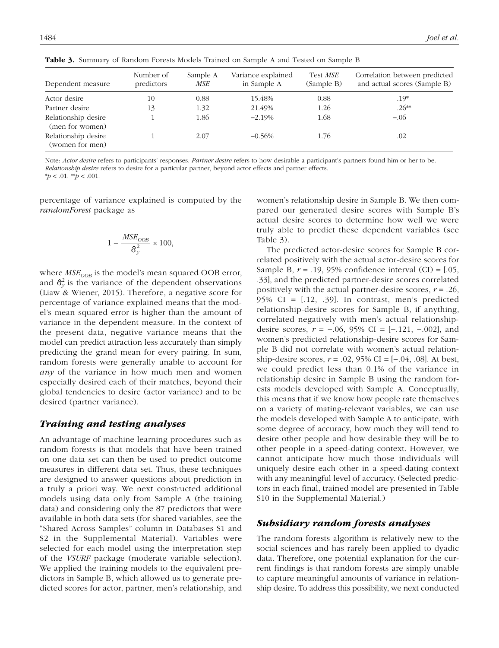| Dependent measure                      | Number of<br>predictors | Sample A<br>MSE | Variance explained<br>in Sample A | Test MSE<br>(Sample B) | Correlation between predicted<br>and actual scores (Sample B) |
|----------------------------------------|-------------------------|-----------------|-----------------------------------|------------------------|---------------------------------------------------------------|
| Actor desire                           | 10                      | 0.88            | 15.48%                            | 0.88                   | .19*                                                          |
| Partner desire                         | 13                      | 1.32            | 21.49%                            | 1.26                   | $.26**$                                                       |
| Relationship desire<br>(men for women) |                         | 1.86            | $-2.19%$                          | 1.68                   | $-.06$                                                        |
| Relationship desire<br>(women for men) |                         | 2.07            | $-0.56%$                          | 1.76                   | .02                                                           |

Table 3. Summary of Random Forests Models Trained on Sample A and Tested on Sample B

Note: *Actor desire* refers to participants' responses. *Partner desire* refers to how desirable a participant's partners found him or her to be.

*Relationship desire* refers to desire for a particular partner, beyond actor effects and partner effects.

\**p* < .01. \*\**p* < .001.

percentage of variance explained is computed by the *randomForest* package as

$$
1 - \frac{MSE_{OOB}}{\hat{\sigma}_{y}^{2}} \times 100,
$$

where *MSE*<sub>*OOB*</sub> is the model's mean squared OOB error, and  $\hat{\sigma}_y^2$  is the variance of the dependent observations (Liaw & Wiener, 2015). Therefore, a negative score for percentage of variance explained means that the model's mean squared error is higher than the amount of variance in the dependent measure. In the context of the present data, negative variance means that the model can predict attraction less accurately than simply predicting the grand mean for every pairing. In sum, random forests were generally unable to account for *any* of the variance in how much men and women especially desired each of their matches, beyond their global tendencies to desire (actor variance) and to be desired (partner variance).

# Training and testing analyses

An advantage of machine learning procedures such as random forests is that models that have been trained on one data set can then be used to predict outcome measures in different data set. Thus, these techniques are designed to answer questions about prediction in a truly a priori way. We next constructed additional models using data only from Sample A (the training data) and considering only the 87 predictors that were available in both data sets (for shared variables, see the "Shared Across Samples" column in Databases S1 and S2 in the Supplemental Material). Variables were selected for each model using the interpretation step of the *VSURF* package (moderate variable selection). We applied the training models to the equivalent predictors in Sample B, which allowed us to generate predicted scores for actor, partner, men's relationship, and women's relationship desire in Sample B. We then compared our generated desire scores with Sample B's actual desire scores to determine how well we were truly able to predict these dependent variables (see Table 3).

The predicted actor-desire scores for Sample B correlated positively with the actual actor-desire scores for Sample B, *r* = .19, 95% confidence interval (CI) = [.05, .33], and the predicted partner-desire scores correlated positively with the actual partner-desire scores, *r* = .26, 95% CI =  $[0.12, 0.39]$ . In contrast, men's predicted relationship-desire scores for Sample B, if anything, correlated negatively with men's actual relationshipdesire scores, *r* = −.06, 95% CI = [−.121, −.002], and women's predicted relationship-desire scores for Sample B did not correlate with women's actual relationship-desire scores, *r* = .02, 95% CI = [−.04, .08]. At best, we could predict less than 0.1% of the variance in relationship desire in Sample B using the random forests models developed with Sample A. Conceptually, this means that if we know how people rate themselves on a variety of mating-relevant variables, we can use the models developed with Sample A to anticipate, with some degree of accuracy, how much they will tend to desire other people and how desirable they will be to other people in a speed-dating context. However, we cannot anticipate how much those individuals will uniquely desire each other in a speed-dating context with any meaningful level of accuracy. (Selected predictors in each final, trained model are presented in Table S10 in the Supplemental Material.)

# Subsidiary random forests analyses

The random forests algorithm is relatively new to the social sciences and has rarely been applied to dyadic data. Therefore, one potential explanation for the current findings is that random forests are simply unable to capture meaningful amounts of variance in relationship desire. To address this possibility, we next conducted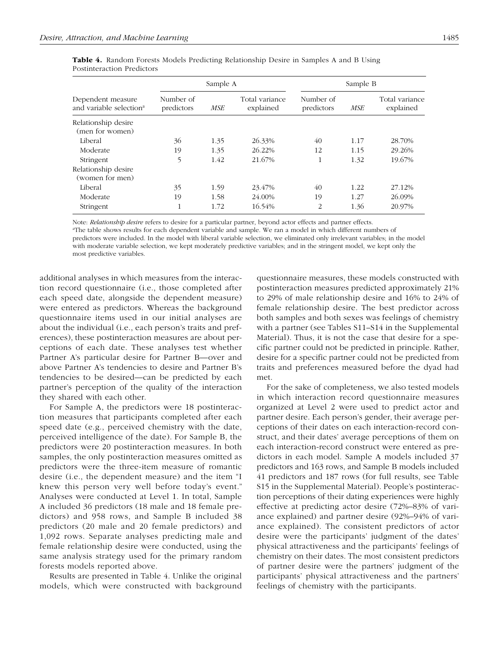|                                                          |                         | Sample A |                             | Sample B                |      |                             |  |
|----------------------------------------------------------|-------------------------|----------|-----------------------------|-------------------------|------|-----------------------------|--|
| Dependent measure<br>and variable selection <sup>a</sup> | Number of<br>predictors | MSE      | Total variance<br>explained | Number of<br>predictors | MSE  | Total variance<br>explained |  |
| Relationship desire<br>(men for women)                   |                         |          |                             |                         |      |                             |  |
| Liberal                                                  | 36                      | 1.35     | 26.33%                      | 40                      | 1.17 | 28.70%                      |  |
| Moderate                                                 | 19                      | 1.35     | 26.22%                      | 12                      | 1.15 | 29.26%                      |  |
| Stringent                                                | 5                       | 1.42     | 21.67%                      | 1                       | 1.32 | 19.67%                      |  |
| Relationship desire<br>(women for men)                   |                         |          |                             |                         |      |                             |  |
| Liberal                                                  | 35                      | 1.59     | 23.47%                      | 40                      | 1.22 | 27.12%                      |  |
| Moderate                                                 | 19                      | 1.58     | 24.00%                      | 19                      | 1.27 | 26.09%                      |  |
| Stringent                                                | 1                       | 1.72     | 16.54%                      | 2                       | 1.36 | 20.97%                      |  |

Table 4. Random Forests Models Predicting Relationship Desire in Samples A and B Using Postinteraction Predictors

Note: *Relationship desire* refers to desire for a particular partner, beyond actor effects and partner effects.

<sup>a</sup>The table shows results for each dependent variable and sample. We ran a model in which different numbers of predictors were included. In the model with liberal variable selection, we eliminated only irrelevant variables; in the model with moderate variable selection, we kept moderately predictive variables; and in the stringent model, we kept only the most predictive variables.

additional analyses in which measures from the interaction record questionnaire (i.e., those completed after each speed date, alongside the dependent measure) were entered as predictors. Whereas the background questionnaire items used in our initial analyses are about the individual (i.e., each person's traits and preferences), these postinteraction measures are about perceptions of each date. These analyses test whether Partner A's particular desire for Partner B—over and above Partner A's tendencies to desire and Partner B's tendencies to be desired—can be predicted by each partner's perception of the quality of the interaction they shared with each other.

For Sample A, the predictors were 18 postinteraction measures that participants completed after each speed date (e.g., perceived chemistry with the date, perceived intelligence of the date). For Sample B, the predictors were 20 postinteraction measures. In both samples, the only postinteraction measures omitted as predictors were the three-item measure of romantic desire (i.e., the dependent measure) and the item "I knew this person very well before today's event." Analyses were conducted at Level 1. In total, Sample A included 36 predictors (18 male and 18 female predictors) and 958 rows, and Sample B included 38 predictors (20 male and 20 female predictors) and 1,092 rows. Separate analyses predicting male and female relationship desire were conducted, using the same analysis strategy used for the primary random forests models reported above.

Results are presented in Table 4. Unlike the original models, which were constructed with background questionnaire measures, these models constructed with postinteraction measures predicted approximately 21% to 29% of male relationship desire and 16% to 24% of female relationship desire. The best predictor across both samples and both sexes was feelings of chemistry with a partner (see Tables S11–S14 in the Supplemental Material). Thus, it is not the case that desire for a specific partner could not be predicted in principle. Rather, desire for a specific partner could not be predicted from traits and preferences measured before the dyad had met.

For the sake of completeness, we also tested models in which interaction record questionnaire measures organized at Level 2 were used to predict actor and partner desire. Each person's gender, their average perceptions of their dates on each interaction-record construct, and their dates' average perceptions of them on each interaction-record construct were entered as predictors in each model. Sample A models included 37 predictors and 163 rows, and Sample B models included 41 predictors and 187 rows (for full results, see Table S15 in the Supplemental Material). People's postinteraction perceptions of their dating experiences were highly effective at predicting actor desire (72%–83% of variance explained) and partner desire (92%–94% of variance explained). The consistent predictors of actor desire were the participants' judgment of the dates' physical attractiveness and the participants' feelings of chemistry on their dates. The most consistent predictors of partner desire were the partners' judgment of the participants' physical attractiveness and the partners' feelings of chemistry with the participants.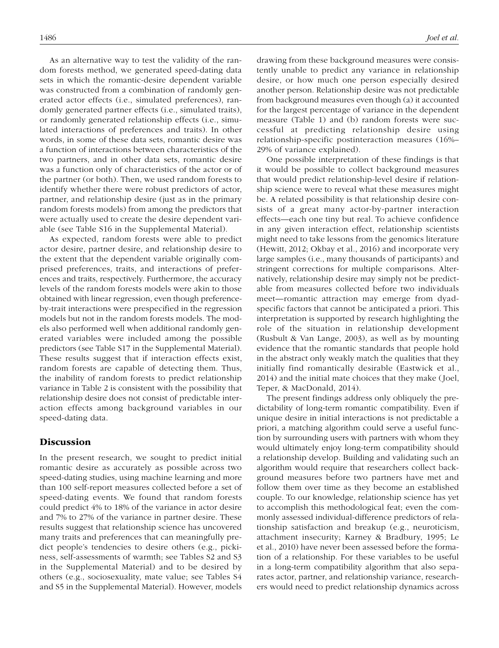As an alternative way to test the validity of the random forests method, we generated speed-dating data sets in which the romantic-desire dependent variable was constructed from a combination of randomly generated actor effects (i.e., simulated preferences), randomly generated partner effects (i.e., simulated traits), or randomly generated relationship effects (i.e., simulated interactions of preferences and traits). In other words, in some of these data sets, romantic desire was a function of interactions between characteristics of the two partners, and in other data sets, romantic desire was a function only of characteristics of the actor or of the partner (or both). Then, we used random forests to identify whether there were robust predictors of actor, partner, and relationship desire (just as in the primary random forests models) from among the predictors that were actually used to create the desire dependent variable (see Table S16 in the Supplemental Material).

As expected, random forests were able to predict actor desire, partner desire, and relationship desire to the extent that the dependent variable originally comprised preferences, traits, and interactions of preferences and traits, respectively. Furthermore, the accuracy levels of the random forests models were akin to those obtained with linear regression, even though preferenceby-trait interactions were prespecified in the regression models but not in the random forests models. The models also performed well when additional randomly generated variables were included among the possible predictors (see Table S17 in the Supplemental Material). These results suggest that if interaction effects exist, random forests are capable of detecting them. Thus, the inability of random forests to predict relationship variance in Table 2 is consistent with the possibility that relationship desire does not consist of predictable interaction effects among background variables in our speed-dating data.

## **Discussion**

In the present research, we sought to predict initial romantic desire as accurately as possible across two speed-dating studies, using machine learning and more than 100 self-report measures collected before a set of speed-dating events. We found that random forests could predict 4% to 18% of the variance in actor desire and 7% to 27% of the variance in partner desire. These results suggest that relationship science has uncovered many traits and preferences that can meaningfully predict people's tendencies to desire others (e.g., pickiness, self-assessments of warmth; see Tables S2 and S3 in the Supplemental Material) and to be desired by others (e.g., sociosexuality, mate value; see Tables S4 and S5 in the Supplemental Material). However, models drawing from these background measures were consistently unable to predict any variance in relationship desire, or how much one person especially desired another person. Relationship desire was not predictable from background measures even though (a) it accounted for the largest percentage of variance in the dependent measure (Table 1) and (b) random forests were successful at predicting relationship desire using relationship-specific postinteraction measures (16%– 29% of variance explained).

One possible interpretation of these findings is that it would be possible to collect background measures that would predict relationship-level desire if relationship science were to reveal what these measures might be. A related possibility is that relationship desire consists of a great many actor-by-partner interaction effects—each one tiny but real. To achieve confidence in any given interaction effect, relationship scientists might need to take lessons from the genomics literature (Hewitt, 2012; Okbay et al., 2016) and incorporate very large samples (i.e., many thousands of participants) and stringent corrections for multiple comparisons. Alternatively, relationship desire may simply not be predictable from measures collected before two individuals meet—romantic attraction may emerge from dyadspecific factors that cannot be anticipated a priori. This interpretation is supported by research highlighting the role of the situation in relationship development (Rusbult & Van Lange, 2003), as well as by mounting evidence that the romantic standards that people hold in the abstract only weakly match the qualities that they initially find romantically desirable (Eastwick et al., 2014) and the initial mate choices that they make (Joel, Teper, & MacDonald, 2014).

The present findings address only obliquely the predictability of long-term romantic compatibility. Even if unique desire in initial interactions is not predictable a priori, a matching algorithm could serve a useful function by surrounding users with partners with whom they would ultimately enjoy long-term compatibility should a relationship develop. Building and validating such an algorithm would require that researchers collect background measures before two partners have met and follow them over time as they become an established couple. To our knowledge, relationship science has yet to accomplish this methodological feat; even the commonly assessed individual-difference predictors of relationship satisfaction and breakup (e.g., neuroticism, attachment insecurity; Karney & Bradbury, 1995; Le et al., 2010) have never been assessed before the formation of a relationship. For these variables to be useful in a long-term compatibility algorithm that also separates actor, partner, and relationship variance, researchers would need to predict relationship dynamics across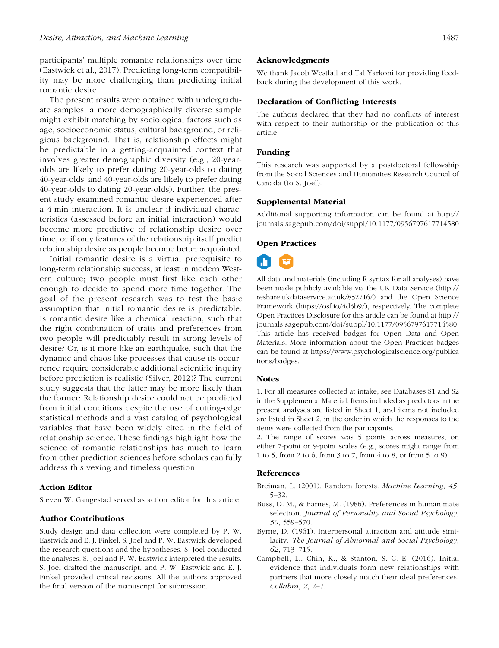participants' multiple romantic relationships over time (Eastwick et al., 2017). Predicting long-term compatibility may be more challenging than predicting initial romantic desire.

The present results were obtained with undergraduate samples; a more demographically diverse sample might exhibit matching by sociological factors such as age, socioeconomic status, cultural background, or religious background. That is, relationship effects might be predictable in a getting-acquainted context that involves greater demographic diversity (e.g., 20-yearolds are likely to prefer dating 20-year-olds to dating 40-year-olds, and 40-year-olds are likely to prefer dating 40-year-olds to dating 20-year-olds). Further, the present study examined romantic desire experienced after a 4-min interaction. It is unclear if individual characteristics (assessed before an initial interaction) would become more predictive of relationship desire over time, or if only features of the relationship itself predict relationship desire as people become better acquainted.

Initial romantic desire is a virtual prerequisite to long-term relationship success, at least in modern Western culture; two people must first like each other enough to decide to spend more time together. The goal of the present research was to test the basic assumption that initial romantic desire is predictable. Is romantic desire like a chemical reaction, such that the right combination of traits and preferences from two people will predictably result in strong levels of desire? Or, is it more like an earthquake, such that the dynamic and chaos-like processes that cause its occurrence require considerable additional scientific inquiry before prediction is realistic (Silver, 2012)? The current study suggests that the latter may be more likely than the former: Relationship desire could not be predicted from initial conditions despite the use of cutting-edge statistical methods and a vast catalog of psychological variables that have been widely cited in the field of relationship science. These findings highlight how the science of romantic relationships has much to learn from other prediction sciences before scholars can fully address this vexing and timeless question.

#### Action Editor

Steven W. Gangestad served as action editor for this article.

## Author Contributions

Study design and data collection were completed by P. W. Eastwick and E. J. Finkel. S. Joel and P. W. Eastwick developed the research questions and the hypotheses. S. Joel conducted the analyses. S. Joel and P. W. Eastwick interpreted the results. S. Joel drafted the manuscript, and P. W. Eastwick and E. J. Finkel provided critical revisions. All the authors approved the final version of the manuscript for submission.

#### Acknowledgments

We thank Jacob Westfall and Tal Yarkoni for providing feedback during the development of this work.

#### Declaration of Conflicting Interests

The authors declared that they had no conflicts of interest with respect to their authorship or the publication of this article.

#### Funding

This research was supported by a postdoctoral fellowship from the Social Sciences and Humanities Research Council of Canada (to S. Joel).

#### Supplemental Material

Additional supporting information can be found at http:// journals.sagepub.com/doi/suppl/10.1177/0956797617714580

#### Open Practices



All data and materials (including R syntax for all analyses) have been made publicly available via the UK Data Service (http:// reshare.ukdataservice.ac.uk/852716/) and the Open Science Framework (https://osf.io/4d3b9/), respectively. The complete Open Practices Disclosure for this article can be found at http:// journals.sagepub.com/doi/suppl/10.1177/0956797617714580. This article has received badges for Open Data and Open Materials. More information about the Open Practices badges can be found at https://www.psychologicalscience.org/publica tions/badges.

#### Notes

1. For all measures collected at intake, see Databases S1 and S2 in the Supplemental Material. Items included as predictors in the present analyses are listed in Sheet 1, and items not included are listed in Sheet 2, in the order in which the responses to the items were collected from the participants.

2. The range of scores was 5 points across measures, on either 7-point or 9-point scales (e.g., scores might range from 1 to 5, from 2 to 6, from 3 to 7, from 4 to 8, or from 5 to 9).

## References

- Breiman, L. (2001). Random forests. *Machine Learning*, *45*, 5–32.
- Buss, D. M., & Barnes, M. (1986). Preferences in human mate selection. *Journal of Personality and Social Psychology*, *50*, 559–570.
- Byrne, D. (1961). Interpersonal attraction and attitude similarity. *The Journal of Abnormal and Social Psychology*, *62*, 713–715.
- Campbell, L., Chin, K., & Stanton, S. C. E. (2016). Initial evidence that individuals form new relationships with partners that more closely match their ideal preferences. *Collabra*, *2*, 2–7.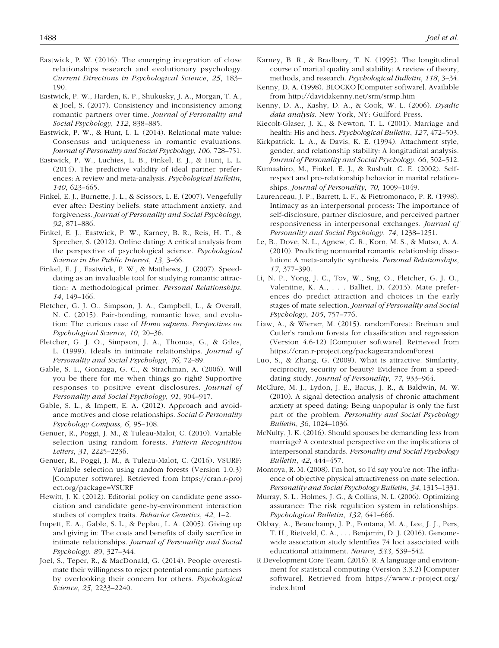- Eastwick, P. W. (2016). The emerging integration of close relationships research and evolutionary psychology. *Current Directions in Psychological Science*, *25*, 183– 190.
- Eastwick, P. W., Harden, K. P., Shukusky, J. A., Morgan, T. A., & Joel, S. (2017). Consistency and inconsistency among romantic partners over time. *Journal of Personality and Social Psychology*, *112*, 838–885.
- Eastwick, P. W., & Hunt, L. L. (2014). Relational mate value: Consensus and uniqueness in romantic evaluations. *Journal of Personality and Social Psychology*, *106*, 728–751.
- Eastwick, P. W., Luchies, L. B., Finkel, E. J., & Hunt, L. L. (2014). The predictive validity of ideal partner preferences: A review and meta-analysis. *Psychological Bulletin*, *140*, 623–665.
- Finkel, E. J., Burnette, J. L., & Scissors, L. E. (2007). Vengefully ever after: Destiny beliefs, state attachment anxiety, and forgiveness. *Journal of Personality and Social Psychology*, *92*, 871–886.
- Finkel, E. J., Eastwick, P. W., Karney, B. R., Reis, H. T., & Sprecher, S. (2012). Online dating: A critical analysis from the perspective of psychological science. *Psychological Science in the Public Interest*, *13*, 3–66.
- Finkel, E. J., Eastwick, P. W., & Matthews, J. (2007). Speeddating as an invaluable tool for studying romantic attraction: A methodological primer. *Personal Relationships*, *14*, 149–166.
- Fletcher, G. J. O., Simpson, J. A., Campbell, L., & Overall, N. C. (2015). Pair-bonding, romantic love, and evolution: The curious case of *Homo sapiens. Perspectives on Psychological Science*, *10*, 20–36.
- Fletcher, G. J. O., Simpson, J. A., Thomas, G., & Giles, L. (1999). Ideals in intimate relationships. *Journal of Personality and Social Psychology*, *76*, 72–89.
- Gable, S. L., Gonzaga, G. C., & Strachman, A. (2006). Will you be there for me when things go right? Supportive responses to positive event disclosures. *Journal of Personality and Social Psychology*, *91*, 904–917.
- Gable, S. L., & Impett, E. A. (2012). Approach and avoidance motives and close relationships. *Social & Personality Psychology Compass*, *6*, 95–108.
- Genuer, R., Poggi, J. M., & Tuleau-Malot, C. (2010). Variable selection using random forests. *Pattern Recognition Letters*, *31*, 2225–2236.
- Genuer, R., Poggi, J. M., & Tuleau-Malot, C. (2016). VSURF: Variable selection using random forests (Version 1.0.3) [Computer software]. Retrieved from https://cran.r-proj ect.org/package=VSURF
- Hewitt, J. K. (2012). Editorial policy on candidate gene association and candidate gene-by-environment interaction studies of complex traits. *Behavior Genetics*, *42*, 1–2.
- Impett, E. A., Gable, S. L., & Peplau, L. A. (2005). Giving up and giving in: The costs and benefits of daily sacrifice in intimate relationships. *Journal of Personality and Social Psychology*, *89*, 327–344.
- Joel, S., Teper, R., & MacDonald, G. (2014). People overestimate their willingness to reject potential romantic partners by overlooking their concern for others. *Psychological Science*, *25*, 2233–2240.
- Karney, B. R., & Bradbury, T. N. (1995). The longitudinal course of marital quality and stability: A review of theory, methods, and research. *Psychological Bulletin*, *118*, 3–34.
- Kenny, D. A. (1998). BLOCKO [Computer software]. Available from http://davidakenny.net/srm/srmp.htm
- Kenny, D. A., Kashy, D. A., & Cook, W. L. (2006). *Dyadic data analysis*. New York, NY: Guilford Press.
- Kiecolt-Glaser, J. K., & Newton, T. L. (2001). Marriage and health: His and hers. *Psychological Bulletin*, *127*, 472–503.
- Kirkpatrick, L. A., & Davis, K. E. (1994). Attachment style, gender, and relationship stability: A longitudinal analysis. *Journal of Personality and Social Psychology*, *66*, 502–512.
- Kumashiro, M., Finkel, E. J., & Rusbult, C. E. (2002). Selfrespect and pro-relationship behavior in marital relationships. *Journal of Personality*, *70*, 1009–1049.
- Laurenceau, J. P., Barrett, L. F., & Pietromonaco, P. R. (1998). Intimacy as an interpersonal process: The importance of self-disclosure, partner disclosure, and perceived partner responsiveness in interpersonal exchanges. *Journal of Personality and Social Psychology*, *74*, 1238–1251.
- Le, B., Dove, N. L., Agnew, C. R., Korn, M. S., & Mutso, A. A. (2010). Predicting nonmarital romantic relationship dissolution: A meta-analytic synthesis. *Personal Relationships*, *17*, 377–390.
- Li, N. P., Yong, J. C., Tov, W., Sng, O., Fletcher, G. J. O., Valentine, K. A., . . . Balliet, D. (2013). Mate preferences do predict attraction and choices in the early stages of mate selection. *Journal of Personality and Social Psychology*, *105*, 757–776.
- Liaw, A., & Wiener, M. (2015). randomForest: Breiman and Cutler's random forests for classification and regression (Version 4.6-12) [Computer software]. Retrieved from https://cran.r-project.org/package=randomForest
- Luo, S., & Zhang, G. (2009). What is attractive: Similarity, reciprocity, security or beauty? Evidence from a speeddating study. *Journal of Personality*, *77*, 933–964.
- McClure, M. J., Lydon, J. E., Bacus, J. R., & Baldwin, M. W. (2010). A signal detection analysis of chronic attachment anxiety at speed dating: Being unpopular is only the first part of the problem. *Personality and Social Psychology Bulletin*, *36*, 1024–1036.
- McNulty, J. K. (2016). Should spouses be demanding less from marriage? A contextual perspective on the implications of interpersonal standards. *Personality and Social Psychology Bulletin*, *42*, 444–457.
- Montoya, R. M. (2008). I'm hot, so I'd say you're not: The influence of objective physical attractiveness on mate selection. *Personality and Social Psychology Bulletin*, *34*, 1315–1331.
- Murray, S. L., Holmes, J. G., & Collins, N. L. (2006). Optimizing assurance: The risk regulation system in relationships. *Psychological Bulletin*, *132*, 641–666.
- Okbay, A., Beauchamp, J. P., Fontana, M. A., Lee, J. J., Pers, T. H., Rietveld, C. A., . . . Benjamin, D. J. (2016). Genomewide association study identifies 74 loci associated with educational attainment. *Nature*, *533*, 539–542.
- R Development Core Team. (2016). R: A language and environment for statistical computing (Version 3.3.2) [Computer software]. Retrieved from https://www.r-project.org/ index.html